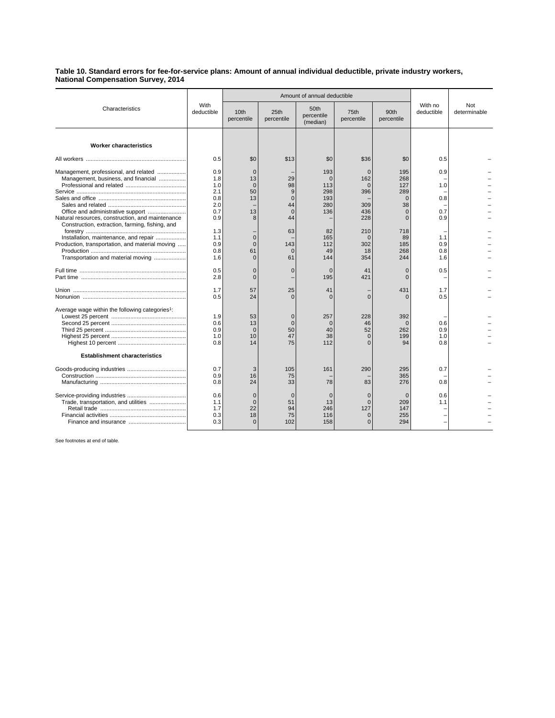**Table 10. Standard errors for fee-for-service plans: Amount of annual individual deductible, private industry workers, National Compensation Survey, 2014**

| Characteristics                                                                                                                                                                     | With<br>deductible                                          |                                                       | Amount of annual deductible                             |                                                          |                                                                   |                                                                           |                                 |                     |
|-------------------------------------------------------------------------------------------------------------------------------------------------------------------------------------|-------------------------------------------------------------|-------------------------------------------------------|---------------------------------------------------------|----------------------------------------------------------|-------------------------------------------------------------------|---------------------------------------------------------------------------|---------------------------------|---------------------|
|                                                                                                                                                                                     |                                                             | 10th<br>percentile                                    | 25th<br>percentile                                      | 50th<br>percentile<br>(median)                           | 75th<br>percentile                                                | 90th<br>percentile                                                        | With no<br>deductible           | Not<br>determinable |
| <b>Worker characteristics</b>                                                                                                                                                       |                                                             |                                                       |                                                         |                                                          |                                                                   |                                                                           |                                 |                     |
|                                                                                                                                                                                     | 0.5                                                         | \$0                                                   | \$13                                                    | \$0                                                      | \$36                                                              | \$0                                                                       | 0.5                             |                     |
| Management, professional, and related<br>Management, business, and financial<br>Natural resources, construction, and maintenance<br>Construction, extraction, farming, fishing, and | 0.9<br>1.8<br>1.0<br>2.1<br>0.8<br>2.0<br>0.7<br>0.9<br>1.3 | $\mathbf{0}$<br>13<br>$\Omega$<br>50<br>13<br>13<br>8 | 29<br>98<br>9<br>$\Omega$<br>44<br>$\Omega$<br>44<br>63 | 193<br>$\Omega$<br>113<br>298<br>193<br>280<br>136<br>82 | $\mathbf 0$<br>162<br>$\Omega$<br>396<br>309<br>436<br>228<br>210 | 195<br>268<br>127<br>289<br>$\Omega$<br>38<br>$\Omega$<br>$\Omega$<br>718 | 0.9<br>1.0<br>0.8<br>0.7<br>0.9 |                     |
| Installation, maintenance, and repair<br>Production, transportation, and material moving<br>Transportation and material moving                                                      | 1.1<br>0.9<br>0.8<br>1.6                                    | $\mathbf 0$<br>$\Omega$<br>61<br>$\Omega$             | 143<br>$\Omega$<br>61                                   | 165<br>112<br>49<br>144                                  | $\mathbf 0$<br>302<br>18<br>354                                   | 89<br>185<br>268<br>244                                                   | 1.1<br>0.9<br>0.8<br>1.6        |                     |
|                                                                                                                                                                                     | 0.5<br>2.8                                                  | $\mathbf 0$<br>$\Omega$                               | $\Omega$                                                | $\Omega$<br>195                                          | 41<br>421                                                         | $\Omega$<br>$\Omega$                                                      | 0.5                             |                     |
|                                                                                                                                                                                     | 1.7<br>0.5                                                  | 57<br>24                                              | 25<br>$\Omega$                                          | 41<br>$\Omega$                                           | $\Omega$                                                          | 431<br>O                                                                  | 1.7<br>0.5                      |                     |
| Average wage within the following categories <sup>1</sup> :                                                                                                                         | 1.9<br>0.6<br>0.9<br>1.0<br>0.8                             | 53<br>13<br>$\Omega$<br>10<br>14                      | $\overline{0}$<br>50<br>47<br>75                        | 257<br>$\Omega$<br>40<br>38<br>112                       | 228<br>46<br>52<br>$\Omega$<br>$\Omega$                           | 392<br>$\Omega$<br>262<br>199<br>94                                       | 0.6<br>0.9<br>1.0<br>0.8        |                     |
| <b>Establishment characteristics</b>                                                                                                                                                |                                                             |                                                       |                                                         |                                                          |                                                                   |                                                                           |                                 |                     |
|                                                                                                                                                                                     | 0.7<br>0.9<br>0.8                                           | 3<br>16<br>24                                         | 105<br>75<br>33                                         | 161<br>78                                                | 290<br>83                                                         | 295<br>365<br>276                                                         | 0.7<br>0.8                      |                     |
| Trade, transportation, and utilities                                                                                                                                                | 0.6<br>1.1<br>1.7<br>0.3<br>0.3                             | $\mathbf 0$<br>$\Omega$<br>22<br>18<br>$\Omega$       | $\Omega$<br>51<br>94<br>75<br>102                       | $\mathbf 0$<br>13<br>246<br>116<br>158                   | $\mathbf 0$<br>$\Omega$<br>127<br>$\mathbf 0$<br>$\Omega$         | $\Omega$<br>209<br>147<br>255<br>294                                      | 0.6<br>1.1                      |                     |

See footnotes at end of table.